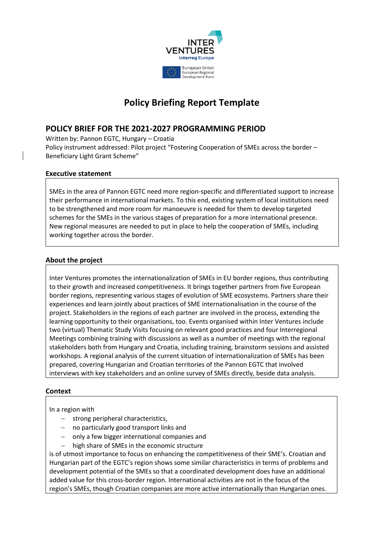

# **Policy Briefing Report Template**

## **POLICY BRIEF FOR THE 2021-2027 PROGRAMMING PERIOD**

Written by: Pannon EGTC, Hungary – Croatia Policy instrument addressed: Pilot project "Fostering Cooperation of SMEs across the border – Beneficiary Light Grant Scheme"

## **Executive statement**

SMEs in the area of Pannon EGTC need more region-specific and differentiated support to increase their performance in international markets. To this end, existing system of local institutions need to be strengthened and more room for manoeuvre is needed for them to develop targeted schemes for the SMEs in the various stages of preparation for a more international presence. New regional measures are needed to put in place to help the cooperation of SMEs, including working together across the border.

#### **About the project**

Inter Ventures promotes the internationalization of SMEs in EU border regions, thus contributing to their growth and increased competitiveness. It brings together partners from five European border regions, representing various stages of evolution of SME ecosystems. Partners share their experiences and learn jointly about practices of SME internationalisation in the course of the project. Stakeholders in the regions of each partner are involved in the process, extending the learning opportunity to their organisations, too. Events organised within Inter Ventures include two (virtual) Thematic Study Visits focusing on relevant good practices and four Interregional Meetings combining training with discussions as well as a number of meetings with the regional stakeholders both from Hungary and Croatia, including training, brainstorm sessions and assisted workshops. A regional analysis of the current situation of internationalization of SMEs has been prepared, covering Hungarian and Croatian territories of the Pannon EGTC that involved interviews with key stakeholders and an online survey of SMEs directly, beside data analysis.

## **Context**

In a region with

- − strong peripheral characteristics,
- no particularly good transport links and
- − only a few bigger international companies and
- − high share of SMEs in the economic structure

is of utmost importance to focus on enhancing the competitiveness of their SME's. Croatian and Hungarian part of the EGTC's region shows some similar characteristics in terms of problems and development potential of the SMEs so that a coordinated development does have an additional added value for this cross-border region. International activities are not in the focus of the region's SMEs, though Croatian companies are more active internationally than Hungarian ones.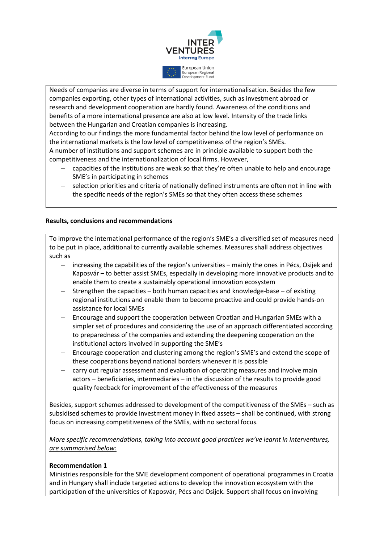

Needs of companies are diverse in terms of support for internationalisation. Besides the few companies exporting, other types of international activities, such as investment abroad or research and development cooperation are hardly found. Awareness of the conditions and benefits of a more international presence are also at low level. Intensity of the trade links between the Hungarian and Croatian companies is increasing.

According to our findings the more fundamental factor behind the low level of performance on the international markets is the low level of competitiveness of the region's SMEs.

A number of institutions and support schemes are in principle available to support both the competitiveness and the internationalization of local firms. However,

- − capacities of the institutions are weak so that they're often unable to help and encourage SME's in participating in schemes
- selection priorities and criteria of nationally defined instruments are often not in line with the specific needs of the region's SMEs so that they often access these schemes

#### **Results, conclusions and recommendations**

To improve the international performance of the region's SME's a diversified set of measures need to be put in place, additional to currently available schemes. Measures shall address objectives such as

- − increasing the capabilities of the region's universities mainly the ones in Pécs, Osijek and Kaposvár – to better assist SMEs, especially in developing more innovative products and to enable them to create a sustainably operational innovation ecosystem
- − Strengthen the capacities both human capacities and knowledge-base of existing regional institutions and enable them to become proactive and could provide hands-on assistance for local SMEs
- Encourage and support the cooperation between Croatian and Hungarian SMEs with a simpler set of procedures and considering the use of an approach differentiated according to preparedness of the companies and extending the deepening cooperation on the institutional actors involved in supporting the SME's
- − Encourage cooperation and clustering among the region's SME's and extend the scope of these cooperations beyond national borders whenever it is possible
- carry out regular assessment and evaluation of operating measures and involve main actors – beneficiaries, intermediaries – in the discussion of the results to provide good quality feedback for improvement of the effectiveness of the measures

Besides, support schemes addressed to development of the competitiveness of the SMEs – such as subsidised schemes to provide investment money in fixed assets – shall be continued, with strong focus on increasing competitiveness of the SMEs, with no sectoral focus.

*More specific recommendations, taking into account good practices we've learnt in Interventures, are summarised below:* 

#### **Recommendation 1**

Ministries responsible for the SME development component of operational programmes in Croatia and in Hungary shall include targeted actions to develop the innovation ecosystem with the participation of the universities of Kaposvár, Pécs and Osijek. Support shall focus on involving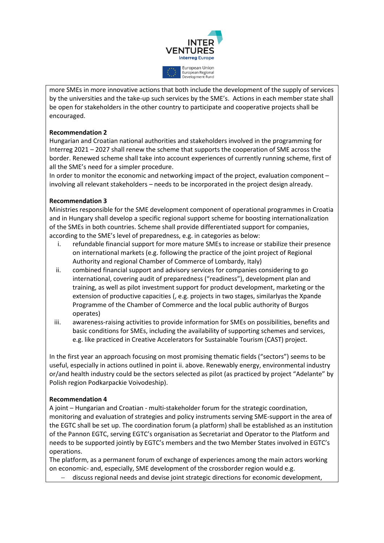

more SMEs in more innovative actions that both include the development of the supply of services by the universities and the take-up such services by the SME's. Actions in each member state shall be open for stakeholders in the other country to participate and cooperative projects shall be encouraged.

#### **Recommendation 2**

Hungarian and Croatian national authorities and stakeholders involved in the programming for Interreg 2021 – 2027 shall renew the scheme that supports the cooperation of SME across the border. Renewed scheme shall take into account experiences of currently running scheme, first of all the SME's need for a simpler procedure.

In order to monitor the economic and networking impact of the project, evaluation component – involving all relevant stakeholders – needs to be incorporated in the project design already.

## **Recommendation 3**

Ministries responsible for the SME development component of operational programmes in Croatia and in Hungary shall develop a specific regional support scheme for boosting internationalization of the SMEs in both countries. Scheme shall provide differentiated support for companies, according to the SME's level of preparedness, e.g. in categories as below:

- i. refundable financial support for more mature SMEs to increase or stabilize their presence on international markets (e.g. following the practice of the joint project of Regional Authority and regional Chamber of Commerce of Lombardy, Italy)
- ii. combined financial support and advisory services for companies considering to go international, covering audit of preparedness ("readiness"), development plan and training, as well as pilot investment support for product development, marketing or the extension of productive capacities (, e.g. projects in two stages, similarlyas the Xpande Programme of the Chamber of Commerce and the local public authority of Burgos operates)
- iii. awareness-raising activities to provide information for SMEs on possibilities, benefits and basic conditions for SMEs, including the availability of supporting schemes and services, e.g. like practiced in Creative Accelerators for Sustainable Tourism (CAST) project.

In the first year an approach focusing on most promising thematic fields ("sectors") seems to be useful, especially in actions outlined in point ii. above. Renewably energy, environmental industry or/and health industry could be the sectors selected as pilot (as practiced by project "Adelante" by Polish region Podkarpackie Voivodeship).

#### **Recommendation 4**

A joint – Hungarian and Croatian - multi-stakeholder forum for the strategic coordination, monitoring and evaluation of strategies and policy instruments serving SME-support in the area of the EGTC shall be set up. The coordination forum (a platform) shall be established as an institution of the Pannon EGTC, serving EGTC's organisation as Secretariat and Operator to the Platform and needs to be supported jointly by EGTC's members and the two Member States involved in EGTC's operations.

The platform, as a permanent forum of exchange of experiences among the main actors working on economic- and, especially, SME development of the crossborder region would e.g.

− discuss regional needs and devise joint strategic directions for economic development,